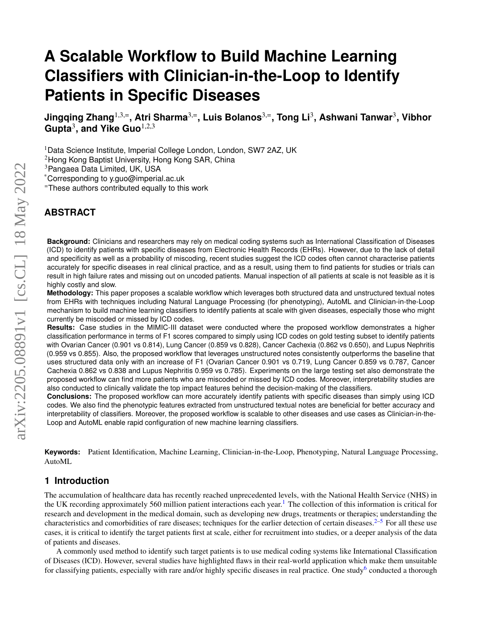# **A Scalable Workflow to Build Machine Learning Classifiers with Clinician-in-the-Loop to Identify Patients in Specific Diseases**

**Jingqing Zhang**1,3,=**, Atri Sharma**3,=**, Luis Bolanos**3,=**, Tong Li**<sup>3</sup> **, Ashwani Tanwar**<sup>3</sup> **, Vibhor Gupta**<sup>3</sup> **, and Yike Guo**1,2,3

<sup>1</sup>Data Science Institute, Imperial College London, London, SW7 2AZ, UK

<sup>2</sup>Hong Kong Baptist University, Hong Kong SAR, China

<sup>3</sup>Pangaea Data Limited, UK, USA

\*Corresponding to y.guo@imperial.ac.uk

<sup>=</sup>These authors contributed equally to this work

# **ABSTRACT**

**Background:** Clinicians and researchers may rely on medical coding systems such as International Classification of Diseases (ICD) to identify patients with specific diseases from Electronic Health Records (EHRs). However, due to the lack of detail and specificity as well as a probability of miscoding, recent studies suggest the ICD codes often cannot characterise patients accurately for specific diseases in real clinical practice, and as a result, using them to find patients for studies or trials can result in high failure rates and missing out on uncoded patients. Manual inspection of all patients at scale is not feasible as it is highly costly and slow.

**Methodology:** This paper proposes a scalable workflow which leverages both structured data and unstructured textual notes from EHRs with techniques including Natural Language Processing (for phenotyping), AutoML and Clinician-in-the-Loop mechanism to build machine learning classifiers to identify patients at scale with given diseases, especially those who might currently be miscoded or missed by ICD codes.

**Results:** Case studies in the MIMIC-III dataset were conducted where the proposed workflow demonstrates a higher classification performance in terms of F1 scores compared to simply using ICD codes on gold testing subset to identify patients with Ovarian Cancer (0.901 vs 0.814), Lung Cancer (0.859 vs 0.828), Cancer Cachexia (0.862 vs 0.650), and Lupus Nephritis (0.959 vs 0.855). Also, the proposed workflow that leverages unstructured notes consistently outperforms the baseline that uses structured data only with an increase of F1 (Ovarian Cancer 0.901 vs 0.719, Lung Cancer 0.859 vs 0.787, Cancer Cachexia 0.862 vs 0.838 and Lupus Nephritis 0.959 vs 0.785). Experiments on the large testing set also demonstrate the proposed workflow can find more patients who are miscoded or missed by ICD codes. Moreover, interpretability studies are also conducted to clinically validate the top impact features behind the decision-making of the classifiers.

**Conclusions:** The proposed workflow can more accurately identify patients with specific diseases than simply using ICD codes. We also find the phenotypic features extracted from unstructured textual notes are beneficial for better accuracy and interpretability of classifiers. Moreover, the proposed workflow is scalable to other diseases and use cases as Clinician-in-the-Loop and AutoML enable rapid configuration of new machine learning classifiers.

**Keywords:** Patient Identification, Machine Learning, Clinician-in-the-Loop, Phenotyping, Natural Language Processing, AutoML

## <span id="page-0-0"></span>**1 Introduction**

The accumulation of healthcare data has recently reached unprecedented levels, with the National Health Service (NHS) in the UK recording approximately 560 million patient interactions each year.<sup>[1](#page-9-0)</sup> The collection of this information is critical for research and development in the medical domain, such as developing new drugs, treatments or therapies; understanding the characteristics and comorbidities of rare diseases; techniques for the earlier detection of certain diseases.<sup>[2](#page-9-1)[–5](#page-9-2)</sup> For all these use cases, it is critical to identify the target patients first at scale, either for recruitment into studies, or a deeper analysis of the data of patients and diseases.

A commonly used method to identify such target patients is to use medical coding systems like International Classification of Diseases (ICD). However, several studies have highlighted flaws in their real-world application which make them unsuitable for classifying patients, especially with rare and/or highly specific diseases in real practice. One study<sup>[6](#page-9-3)</sup> conducted a thorough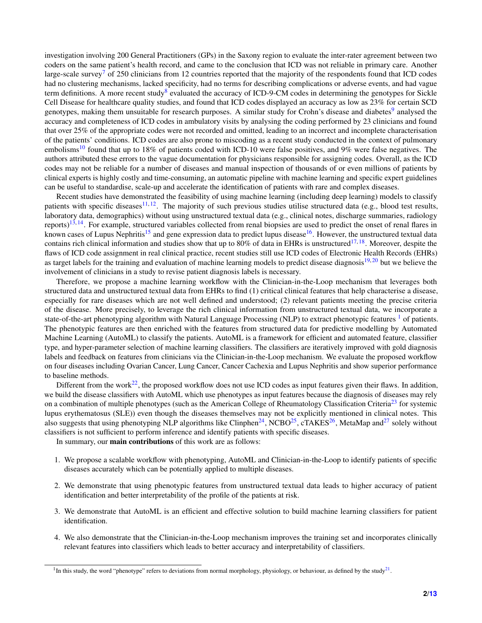investigation involving 200 General Practitioners (GPs) in the Saxony region to evaluate the inter-rater agreement between two coders on the same patient's health record, and came to the conclusion that ICD was not reliable in primary care. Another large-scale survey<sup>[7](#page-9-4)</sup> of 250 clinicians from 12 countries reported that the majority of the respondents found that ICD codes had no clustering mechanisms, lacked specificity, had no terms for describing complications or adverse events, and had vague term definitions. A more recent study<sup>[8](#page-9-5)</sup> evaluated the accuracy of ICD-9-CM codes in determining the genotypes for Sickle Cell Disease for healthcare quality studies, and found that ICD codes displayed an accuracy as low as 23% for certain SCD genotypes, making them unsuitable for research purposes. A similar study for Crohn's disease and diabetes<sup>[9](#page-9-6)</sup> analysed the accuracy and completeness of ICD codes in ambulatory visits by analysing the coding performed by 23 clinicians and found that over 25% of the appropriate codes were not recorded and omitted, leading to an incorrect and incomplete characterisation of the patients' conditions. ICD codes are also prone to miscoding as a recent study conducted in the context of pulmonary embolisms<sup>[10](#page-9-7)</sup> found that up to 18% of patients coded with ICD-10 were false positives, and 9% were false negatives. The authors attributed these errors to the vague documentation for physicians responsible for assigning codes. Overall, as the ICD codes may not be reliable for a number of diseases and manual inspection of thousands of or even millions of patients by clinical experts is highly costly and time-consuming, an automatic pipeline with machine learning and specific expert guidelines can be useful to standardise, scale-up and accelerate the identification of patients with rare and complex diseases.

Recent studies have demonstrated the feasibility of using machine learning (including deep learning) models to classify patients with specific diseases<sup>[11,](#page-9-8) [12](#page-10-0)</sup>. The majority of such previous studies utilise structured data (e.g., blood test results, laboratory data, demographics) without using unstructured textual data (e.g., clinical notes, discharge summaries, radiology reports)<sup>[13,](#page-10-1) [14](#page-10-2)</sup>. For example, structured variables collected from renal biopsies are used to predict the onset of renal flares in known cases of Lupus Nephritis<sup>[15](#page-10-3)</sup> and gene expression data to predict lupus disease<sup>[16](#page-10-4)</sup>. However, the unstructured textual data contains rich clinical information and studies show that up to 80% of data in EHRs is unstructured<sup>[17,](#page-10-5) [18](#page-10-6)</sup>. Moreover, despite the flaws of ICD code assignment in real clinical practice, recent studies still use ICD codes of Electronic Health Records (EHRs) as target labels for the training and evaluation of machine learning models to predict disease diagnosis<sup>[19,](#page-10-7)[20](#page-10-8)</sup> but we believe the involvement of clinicians in a study to revise patient diagnosis labels is necessary.

Therefore, we propose a machine learning workflow with the Clinician-in-the-Loop mechanism that leverages both structured data and unstructured textual data from EHRs to find (1) critical clinical features that help characterise a disease, especially for rare diseases which are not well defined and understood; (2) relevant patients meeting the precise criteria of the disease. More precisely, to leverage the rich clinical information from unstructured textual data, we incorporate a state-of-the-art phenotyping algorithm with Natural Language Processing (NLP) to extract phenotypic features  $\frac{1}{1}$  $\frac{1}{1}$  $\frac{1}{1}$  of patients. The phenotypic features are then enriched with the features from structured data for predictive modelling by Automated Machine Learning (AutoML) to classify the patients. AutoML is a framework for efficient and automated feature, classifier type, and hyper-parameter selection of machine learning classifiers. The classifiers are iteratively improved with gold diagnosis labels and feedback on features from clinicians via the Clinician-in-the-Loop mechanism. We evaluate the proposed workflow on four diseases including Ovarian Cancer, Lung Cancer, Cancer Cachexia and Lupus Nephritis and show superior performance to baseline methods.

Different from the work<sup>[22](#page-10-9)</sup>, the proposed workflow does not use ICD codes as input features given their flaws. In addition, we build the disease classifiers with AutoML which use phenotypes as input features because the diagnosis of diseases may rely on a combination of multiple phenotypes (such as the American College of Rheumatology Classification Criteria<sup>[23](#page-10-10)</sup> for systemic lupus erythematosus (SLE)) even though the diseases themselves may not be explicitly mentioned in clinical notes. This also suggests that using phenotyping NLP algorithms like Clinphen<sup>[24](#page-10-11)</sup>, NCBO<sup>[25](#page-10-12)</sup>, cTAKES<sup>[26](#page-10-13)</sup>, MetaMap and<sup>[27](#page-10-14)</sup> solely without classifiers is not sufficient to perform inference and identify patients with specific diseases.

In summary, our main contributions of this work are as follows:

- 1. We propose a scalable workflow with phenotyping, AutoML and Clinician-in-the-Loop to identify patients of specific diseases accurately which can be potentially applied to multiple diseases.
- 2. We demonstrate that using phenotypic features from unstructured textual data leads to higher accuracy of patient identification and better interpretability of the profile of the patients at risk.
- 3. We demonstrate that AutoML is an efficient and effective solution to build machine learning classifiers for patient identification.
- 4. We also demonstrate that the Clinician-in-the-Loop mechanism improves the training set and incorporates clinically relevant features into classifiers which leads to better accuracy and interpretability of classifiers.

<span id="page-1-1"></span><span id="page-1-0"></span><sup>&</sup>lt;sup>1</sup>In this study, the word "phenotype" refers to deviations from normal morphology, physiology, or behaviour, as defined by the study<sup>[21](#page-10-15)</sup>.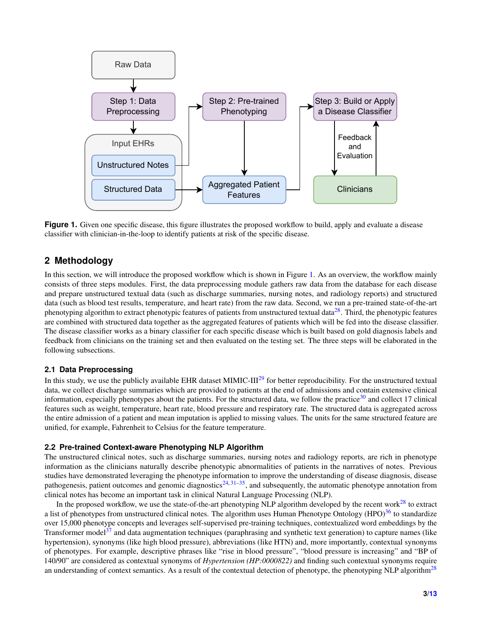<span id="page-2-0"></span>

**Figure 1.** Given one specific disease, this figure illustrates the proposed workflow to build, apply and evaluate a disease classifier with clinician-in-the-loop to identify patients at risk of the specific disease.

## **2 Methodology**

In this section, we will introduce the proposed workflow which is shown in Figure [1.](#page-2-0) As an overview, the workflow mainly consists of three steps modules. First, the data preprocessing module gathers raw data from the database for each disease and prepare unstructured textual data (such as discharge summaries, nursing notes, and radiology reports) and structured data (such as blood test results, temperature, and heart rate) from the raw data. Second, we run a pre-trained state-of-the-art phenotyping algorithm to extract phenotypic features of patients from unstructured textual data<sup>[28](#page-11-0)</sup>. Third, the phenotypic features are combined with structured data together as the aggregated features of patients which will be fed into the disease classifier. The disease classifier works as a binary classifier for each specific disease which is built based on gold diagnosis labels and feedback from clinicians on the training set and then evaluated on the testing set. The three steps will be elaborated in the following subsections.

#### <span id="page-2-1"></span>**2.1 Data Preprocessing**

In this study, we use the publicly available EHR dataset MIMIC-III<sup>[29](#page-11-1)</sup> for better reproducibility. For the unstructured textual data, we collect discharge summaries which are provided to patients at the end of admissions and contain extensive clinical information, especially phenotypes about the patients. For the structured data, we follow the practice<sup>[30](#page-11-2)</sup> and collect 17 clinical features such as weight, temperature, heart rate, blood pressure and respiratory rate. The structured data is aggregated across the entire admission of a patient and mean imputation is applied to missing values. The units for the same structured feature are unified, for example, Fahrenheit to Celsius for the feature temperature.

#### **2.2 Pre-trained Context-aware Phenotyping NLP Algorithm**

The unstructured clinical notes, such as discharge summaries, nursing notes and radiology reports, are rich in phenotype information as the clinicians naturally describe phenotypic abnormalities of patients in the narratives of notes. Previous studies have demonstrated leveraging the phenotype information to improve the understanding of disease diagnosis, disease pathogenesis, patient outcomes and genomic diagnostics $24,31-35$  $24,31-35$  $24,31-35$ , and subsequently, the automatic phenotype annotation from clinical notes has become an important task in clinical Natural Language Processing (NLP).

In the proposed workflow, we use the state-of-the-art phenotyping NLP algorithm developed by the recent work $^{28}$  $^{28}$  $^{28}$  to extract a list of phenotypes from unstructured clinical notes. The algorithm uses Human Phenotype Ontology  $(HPO)^{36}$  $(HPO)^{36}$  $(HPO)^{36}$  to standardize over 15,000 phenotype concepts and leverages self-supervised pre-training techniques, contextualized word embeddings by the Transformer model<sup>[37](#page-11-6)</sup> and data augmentation techniques (paraphrasing and synthetic text generation) to capture names (like hypertension), synonyms (like high blood pressure), abbreviations (like HTN) and, more importantly, contextual synonyms of phenotypes. For example, descriptive phrases like "rise in blood pressure", "blood pressure is increasing" and "BP of 140/90" are considered as contextual synonyms of *Hypertension (HP:0000822)* and finding such contextual synonyms require an understanding of context semantics. As a result of the contextual detection of phenotype, the phenotyping NLP algorithm<sup>[28](#page-11-0)</sup>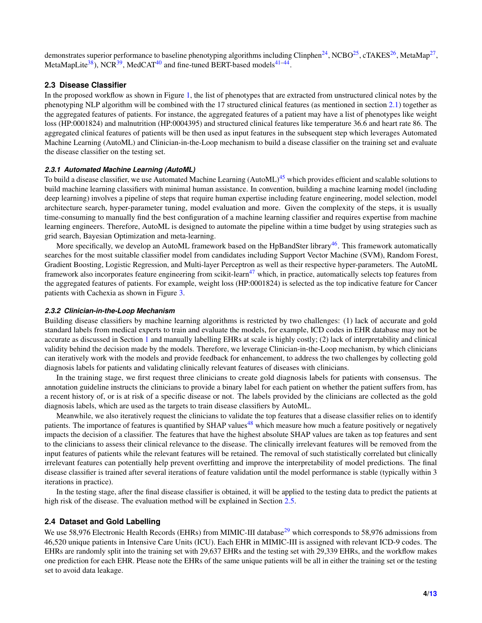demonstrates superior performance to baseline phenotyping algorithms including Clinphen<sup>[24](#page-10-11)</sup>, NCBO<sup>[25](#page-10-12)</sup>, cTAKES<sup>[26](#page-10-13)</sup>, MetaMap<sup>[27](#page-10-14)</sup>, MetaMapLite<sup>[38](#page-11-7)</sup>), NCR<sup>[39](#page-11-8)</sup>, MedCAT<sup>[40](#page-11-9)</sup> and fine-tuned BERT-based models<sup>[41](#page-11-10)[–44](#page-11-11)</sup>.

#### **2.3 Disease Classifier**

In the proposed workflow as shown in Figure [1,](#page-2-0) the list of phenotypes that are extracted from unstructured clinical notes by the phenotyping NLP algorithm will be combined with the 17 structured clinical features (as mentioned in section [2.1\)](#page-2-1) together as the aggregated features of patients. For instance, the aggregated features of a patient may have a list of phenotypes like weight loss (HP:0001824) and malnutrition (HP:0004395) and structured clinical features like temperature 36.6 and heart rate 86. The aggregated clinical features of patients will be then used as input features in the subsequent step which leverages Automated Machine Learning (AutoML) and Clinician-in-the-Loop mechanism to build a disease classifier on the training set and evaluate the disease classifier on the testing set.

#### *2.3.1 Automated Machine Learning (AutoML)*

To build a disease classifier, we use Automated Machine Learning  $(AutoML)<sup>45</sup>$  $(AutoML)<sup>45</sup>$  $(AutoML)<sup>45</sup>$  which provides efficient and scalable solutions to build machine learning classifiers with minimal human assistance. In convention, building a machine learning model (including deep learning) involves a pipeline of steps that require human expertise including feature engineering, model selection, model architecture search, hyper-parameter tuning, model evaluation and more. Given the complexity of the steps, it is usually time-consuming to manually find the best configuration of a machine learning classifier and requires expertise from machine learning engineers. Therefore, AutoML is designed to automate the pipeline within a time budget by using strategies such as grid search, Bayesian Optimization and meta-learning.

More specifically, we develop an AutoML framework based on the HpBandSter library<sup>[46](#page-12-2)</sup>. This framework automatically searches for the most suitable classifier model from candidates including Support Vector Machine (SVM), Random Forest, Gradient Boosting, Logistic Regression, and Multi-layer Perceptron as well as their respective hyper-parameters. The AutoML framework also incorporates feature engineering from scikit-learn<sup>[47](#page-12-3)</sup> which, in practice, automatically selects top features from the aggregated features of patients. For example, weight loss (HP:0001824) is selected as the top indicative feature for Cancer patients with Cachexia as shown in Figure [3.](#page-7-0)

#### *2.3.2 Clinician-in-the-Loop Mechanism*

Building disease classifiers by machine learning algorithms is restricted by two challenges: (1) lack of accurate and gold standard labels from medical experts to train and evaluate the models, for example, ICD codes in EHR database may not be accurate as discussed in Section [1](#page-0-0) and manually labelling EHRs at scale is highly costly; (2) lack of interpretability and clinical validity behind the decision made by the models. Therefore, we leverage Clinician-in-the-Loop mechanism, by which clinicians can iteratively work with the models and provide feedback for enhancement, to address the two challenges by collecting gold diagnosis labels for patients and validating clinically relevant features of diseases with clinicians.

In the training stage, we first request three clinicians to create gold diagnosis labels for patients with consensus. The annotation guideline instructs the clinicians to provide a binary label for each patient on whether the patient suffers from, has a recent history of, or is at risk of a specific disease or not. The labels provided by the clinicians are collected as the gold diagnosis labels, which are used as the targets to train disease classifiers by AutoML.

Meanwhile, we also iteratively request the clinicians to validate the top features that a disease classifier relies on to identify patients. The importance of features is quantified by SHAP values<sup>[48](#page-12-4)</sup> which measure how much a feature positively or negatively impacts the decision of a classifier. The features that have the highest absolute SHAP values are taken as top features and sent to the clinicians to assess their clinical relevance to the disease. The clinically irrelevant features will be removed from the input features of patients while the relevant features will be retained. The removal of such statistically correlated but clinically irrelevant features can potentially help prevent overfitting and improve the interpretability of model predictions. The final disease classifier is trained after several iterations of feature validation until the model performance is stable (typically within 3 iterations in practice).

In the testing stage, after the final disease classifier is obtained, it will be applied to the testing data to predict the patients at high risk of the disease. The evaluation method will be explained in Section [2.5.](#page-4-0)

#### **2.4 Dataset and Gold Labelling**

We use 58,976 Electronic Health Records (EHRs) from MIMIC-III database<sup>[29](#page-11-1)</sup> which corresponds to 58,976 admissions from 46,520 unique patients in Intensive Care Units (ICU). Each EHR in MIMIC-III is assigned with relevant ICD-9 codes. The EHRs are randomly split into the training set with 29,637 EHRs and the testing set with 29,339 EHRs, and the workflow makes one prediction for each EHR. Please note the EHRs of the same unique patients will be all in either the training set or the testing set to avoid data leakage.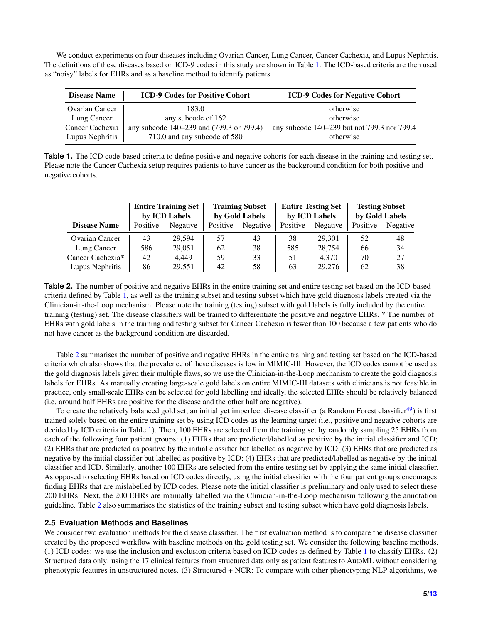We conduct experiments on four diseases including Ovarian Cancer, Lung Cancer, Cancer Cachexia, and Lupus Nephritis. The definitions of these diseases based on ICD-9 codes in this study are shown in Table [1.](#page-4-1) The ICD-based criteria are then used as "noisy" labels for EHRs and as a baseline method to identify patients.

<span id="page-4-1"></span>

| <b>Disease Name</b>   | <b>ICD-9 Codes for Positive Cohort</b>   | <b>ICD-9 Codes for Negative Cohort</b>      |
|-----------------------|------------------------------------------|---------------------------------------------|
| <b>Ovarian Cancer</b> | 183.0                                    | otherwise                                   |
| Lung Cancer           | any subcode of 162                       | otherwise                                   |
| Cancer Cachexia       | any subcode 140–239 and (799.3 or 799.4) | any subcode 140–239 but not 799.3 nor 799.4 |
| Lupus Nephritis       | 710.0 and any subcode of 580             | otherwise                                   |

**Table 1.** The ICD code-based criteria to define positive and negative cohorts for each disease in the training and testing set. Please note the Cancer Cachexia setup requires patients to have cancer as the background condition for both positive and negative cohorts.

<span id="page-4-2"></span>

|                       | <b>Entire Training Set</b><br>by ICD Labels |          | <b>Training Subset</b><br>by Gold Labels |                 | <b>Entire Testing Set</b><br>by ICD Labels |          | <b>Testing Subset</b><br>by Gold Labels |          |
|-----------------------|---------------------------------------------|----------|------------------------------------------|-----------------|--------------------------------------------|----------|-----------------------------------------|----------|
| <b>Disease Name</b>   | Positive                                    | Negative | Positive                                 | <b>Negative</b> | Positive                                   | Negative | Positive                                | Negative |
| <b>Ovarian Cancer</b> | 43                                          | 29.594   | 57                                       | 43              | 38                                         | 29.301   | 52                                      | 48       |
| Lung Cancer           | 586                                         | 29.051   | 62                                       | 38              | 585                                        | 28,754   | 66                                      | 34       |
| Cancer Cachexia*      | 42                                          | 4.449    | 59                                       | 33              | 51                                         | 4.370    | 70                                      | 27       |
| Lupus Nephritis       | 86                                          | 29,551   | 42                                       | 58              | 63                                         | 29,276   | 62                                      | 38       |

**Table 2.** The number of positive and negative EHRs in the entire training set and entire testing set based on the ICD-based criteria defined by Table [1,](#page-4-1) as well as the training subset and testing subset which have gold diagnosis labels created via the Clinician-in-the-Loop mechanism. Please note the training (testing) subset with gold labels is fully included by the entire training (testing) set. The disease classifiers will be trained to differentiate the positive and negative EHRs. \* The number of EHRs with gold labels in the training and testing subset for Cancer Cachexia is fewer than 100 because a few patients who do not have cancer as the background condition are discarded.

Table [2](#page-4-2) summarises the number of positive and negative EHRs in the entire training and testing set based on the ICD-based criteria which also shows that the prevalence of these diseases is low in MIMIC-III. However, the ICD codes cannot be used as the gold diagnosis labels given their multiple flaws, so we use the Clinician-in-the-Loop mechanism to create the gold diagnosis labels for EHRs. As manually creating large-scale gold labels on entire MIMIC-III datasets with clinicians is not feasible in practice, only small-scale EHRs can be selected for gold labelling and ideally, the selected EHRs should be relatively balanced (i.e. around half EHRs are positive for the disease and the other half are negative).

To create the relatively balanced gold set, an initial yet imperfect disease classifier (a Random Forest classifier<sup>[49](#page-12-5)</sup>) is first trained solely based on the entire training set by using ICD codes as the learning target (i.e., positive and negative cohorts are decided by ICD criteria in Table [1\)](#page-4-1). Then, 100 EHRs are selected from the training set by randomly sampling 25 EHRs from each of the following four patient groups: (1) EHRs that are predicted/labelled as positive by the initial classifier and ICD; (2) EHRs that are predicted as positive by the initial classifier but labelled as negative by ICD; (3) EHRs that are predicted as negative by the initial classifier but labelled as positive by ICD; (4) EHRs that are predicted/labelled as negative by the initial classifier and ICD. Similarly, another 100 EHRs are selected from the entire testing set by applying the same initial classifier. As opposed to selecting EHRs based on ICD codes directly, using the initial classifier with the four patient groups encourages finding EHRs that are mislabelled by ICD codes. Please note the initial classifier is preliminary and only used to select these 200 EHRs. Next, the 200 EHRs are manually labelled via the Clinician-in-the-Loop mechanism following the annotation guideline. Table [2](#page-4-2) also summarises the statistics of the training subset and testing subset which have gold diagnosis labels.

## <span id="page-4-0"></span>**2.5 Evaluation Methods and Baselines**

We consider two evaluation methods for the disease classifier. The first evaluation method is to compare the disease classifier created by the proposed workflow with baseline methods on the gold testing set. We consider the following baseline methods. (1) ICD codes: we use the inclusion and exclusion criteria based on ICD codes as defined by Table [1](#page-4-1) to classify EHRs. (2) Structured data only: using the 17 clinical features from structured data only as patient features to AutoML without considering phenotypic features in unstructured notes. (3) Structured + NCR: To compare with other phenotyping NLP algorithms, we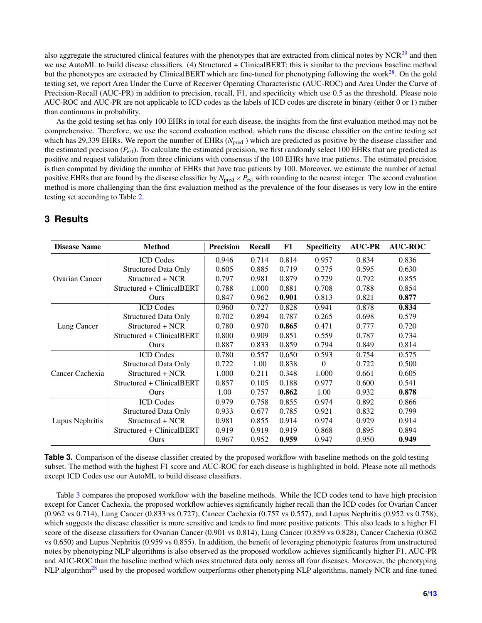also aggregate the structured clinical features with the phenotypes that are extracted from clinical notes by  $NCR<sup>39</sup>$  $NCR<sup>39</sup>$  $NCR<sup>39</sup>$  and then we use AutoML to build disease classifiers. (4) Structured + ClinicalBERT: this is similar to the previous baseline method but the phenotypes are extracted by ClinicalBERT which are fine-tuned for phenotyping following the work $^{28}$  $^{28}$  $^{28}$ . On the gold testing set, we report Area Under the Curve of Receiver Operating Characteristic (AUC-ROC) and Area Under the Curve of Precision-Recall (AUC-PR) in addition to precision, recall, F1, and specificity which use 0.5 as the threshold. Please note AUC-ROC and AUC-PR are not applicable to ICD codes as the labels of ICD codes are discrete in binary (either 0 or 1) rather than continuous in probability.

As the gold testing set has only 100 EHRs in total for each disease, the insights from the first evaluation method may not be comprehensive. Therefore, we use the second evaluation method, which runs the disease classifier on the entire testing set which has 29,339 EHRs. We report the number of EHRs (*N*<sub>pred</sub>) which are predicted as positive by the disease classifier and the estimated precision (*P*est). To calculate the estimated precision, we first randomly select 100 EHRs that are predicted as positive and request validation from three clinicians with consensus if the 100 EHRs have true patients. The estimated precision is then computed by dividing the number of EHRs that have true patients by 100. Moreover, we estimate the number of actual positive EHRs that are found by the disease classifier by  $N_{pred} \times P_{est}$  with rounding to the nearest integer. The second evaluation method is more challenging than the first evaluation method as the prevalence of the four diseases is very low in the entire testing set according to Table [2.](#page-4-2)

<span id="page-5-0"></span>

| <b>Disease Name</b>   | <b>Method</b>               | <b>Precision</b> | <b>Recall</b> | F1    | <b>Specificity</b> | <b>AUC-PR</b> | <b>AUC-ROC</b> |
|-----------------------|-----------------------------|------------------|---------------|-------|--------------------|---------------|----------------|
| <b>Ovarian Cancer</b> | <b>ICD</b> Codes            | 0.946            | 0.714         | 0.814 | 0.957              | 0.834         | 0.836          |
|                       | <b>Structured Data Only</b> | 0.605            | 0.885         | 0.719 | 0.375              | 0.595         | 0.630          |
|                       | Structured + NCR            | 0.797            | 0.981         | 0.879 | 0.729              | 0.792         | 0.855          |
|                       | Structured + ClinicalBERT   | 0.788            | 1.000         | 0.881 | 0.708              | 0.788         | 0.854          |
|                       | Ours                        | 0.847            | 0.962         | 0.901 | 0.813              | 0.821         | 0.877          |
|                       | <b>ICD</b> Codes            | 0.960            | 0.727         | 0.828 | 0.941              | 0.878         | 0.834          |
|                       | <b>Structured Data Only</b> | 0.702            | 0.894         | 0.787 | 0.265              | 0.698         | 0.579          |
| Lung Cancer           | Structured + NCR            | 0.780            | 0.970         | 0.865 | 0.471              | 0.777         | 0.720          |
|                       | Structured + ClinicalBERT   | 0.800            | 0.909         | 0.851 | 0.559              | 0.787         | 0.734          |
|                       | Ours                        | 0.887            | 0.833         | 0.859 | 0.794              | 0.849         | 0.814          |
|                       | <b>ICD</b> Codes            | 0.780            | 0.557         | 0.650 | 0.593              | 0.754         | 0.575          |
| Cancer Cachexia       | <b>Structured Data Only</b> | 0.722            | 1.00          | 0.838 | $\Omega$           | 0.722         | 0.500          |
|                       | Structured + NCR            | 1.000            | 0.211         | 0.348 | 1.000              | 0.661         | 0.605          |
|                       | Structured + ClinicalBERT   | 0.857            | 0.105         | 0.188 | 0.977              | 0.600         | 0.541          |
|                       | Ours                        | 1.00             | 0.757         | 0.862 | 1.00               | 0.932         | 0.878          |
| Lupus Nephritis       | <b>ICD</b> Codes            | 0.979            | 0.758         | 0.855 | 0.974              | 0.892         | 0.866          |
|                       | <b>Structured Data Only</b> | 0.933            | 0.677         | 0.785 | 0.921              | 0.832         | 0.799          |
|                       | Structured + NCR            | 0.981            | 0.855         | 0.914 | 0.974              | 0.929         | 0.914          |
|                       | Structured + ClinicalBERT   | 0.919            | 0.919         | 0.919 | 0.868              | 0.895         | 0.894          |
|                       | Ours                        | 0.967            | 0.952         | 0.959 | 0.947              | 0.950         | 0.949          |

# **3 Results**

**Table 3.** Comparison of the disease classifier created by the proposed workflow with baseline methods on the gold testing subset. The method with the highest F1 score and AUC-ROC for each disease is highlighted in bold. Please note all methods except ICD Codes use our AutoML to build disease classifiers.

Table [3](#page-5-0) compares the proposed workflow with the baseline methods. While the ICD codes tend to have high precision except for Cancer Cachexia, the proposed workflow achieves significantly higher recall than the ICD codes for Ovarian Cancer (0.962 vs 0.714), Lung Cancer (0.833 vs 0.727), Cancer Cachexia (0.757 vs 0.557), and Lupus Nephritis (0.952 vs 0.758), which suggests the disease classifier is more sensitive and tends to find more positive patients. This also leads to a higher F1 score of the disease classifiers for Ovarian Cancer (0.901 vs 0.814), Lung Cancer (0.859 vs 0.828), Cancer Cachexia (0.862 vs 0.650) and Lupus Nephritis (0.959 vs 0.855). In addition, the benefit of leveraging phenotypic features from unstructured notes by phenotyping NLP algorithms is also observed as the proposed workflow achieves significantly higher F1, AUC-PR and AUC-ROC than the baseline method which uses structured data only across all four diseases. Moreover, the phenotyping NLP algorithm<sup>[28](#page-11-0)</sup> used by the proposed workflow outperforms other phenotyping NLP algorithms, namely NCR and fine-tuned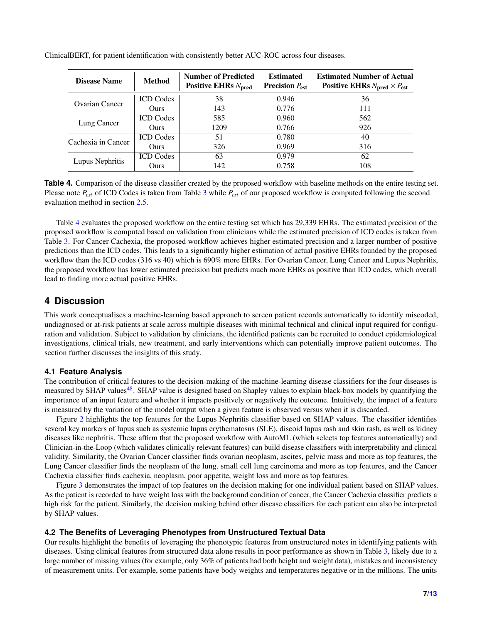| <b>Disease Name</b> | <b>Method</b>    | <b>Number of Predicted</b><br>Positive EHRs $N_{\text{pred}}$ | <b>Estimated</b><br><b>Precision</b> $P_{est}$ | <b>Estimated Number of Actual</b><br>Positive EHRs $N_{pred} \times P_{est}$ |
|---------------------|------------------|---------------------------------------------------------------|------------------------------------------------|------------------------------------------------------------------------------|
| Ovarian Cancer      | <b>ICD</b> Codes | 38                                                            | 0.946                                          | 36                                                                           |
|                     | <b>Ours</b>      | 143                                                           | 0.776                                          | 111                                                                          |
| Lung Cancer         | <b>ICD</b> Codes | 585                                                           | 0.960                                          | 562                                                                          |
|                     | <b>Ours</b>      | 1209                                                          | 0.766                                          | 926                                                                          |
| Cachexia in Cancer  | <b>ICD</b> Codes | 51                                                            | 0.780                                          | 40                                                                           |
|                     | Ours.            | 326                                                           | 0.969                                          | 316                                                                          |
| Lupus Nephritis     | <b>ICD</b> Codes | 63                                                            | 0.979                                          | 62                                                                           |
|                     | Ours             | 142                                                           | 0.758                                          | 108                                                                          |

<span id="page-6-0"></span>ClinicalBERT, for patient identification with consistently better AUC-ROC across four diseases.

**Table 4.** Comparison of the disease classifier created by the proposed workflow with baseline methods on the entire testing set. Please note *Pest* of ICD Codes is taken from Table [3](#page-5-0) while *Pest* of our proposed workflow is computed following the second evaluation method in section [2.5.](#page-4-0)

Table [4](#page-6-0) evaluates the proposed workflow on the entire testing set which has 29,339 EHRs. The estimated precision of the proposed workflow is computed based on validation from clinicians while the estimated precision of ICD codes is taken from Table [3.](#page-5-0) For Cancer Cachexia, the proposed workflow achieves higher estimated precision and a larger number of positive predictions than the ICD codes. This leads to a significantly higher estimation of actual positive EHRs founded by the proposed workflow than the ICD codes (316 vs 40) which is 690% more EHRs. For Ovarian Cancer, Lung Cancer and Lupus Nephritis, the proposed workflow has lower estimated precision but predicts much more EHRs as positive than ICD codes, which overall lead to finding more actual positive EHRs.

## **4 Discussion**

This work conceptualises a machine-learning based approach to screen patient records automatically to identify miscoded, undiagnosed or at-risk patients at scale across multiple diseases with minimal technical and clinical input required for configuration and validation. Subject to validation by clinicians, the identified patients can be recruited to conduct epidemiological investigations, clinical trials, new treatment, and early interventions which can potentially improve patient outcomes. The section further discusses the insights of this study.

## **4.1 Feature Analysis**

The contribution of critical features to the decision-making of the machine-learning disease classifiers for the four diseases is measured by SHAP values<sup>[48](#page-12-4)</sup>. SHAP value is designed based on Shapley values to explain black-box models by quantifying the importance of an input feature and whether it impacts positively or negatively the outcome. Intuitively, the impact of a feature is measured by the variation of the model output when a given feature is observed versus when it is discarded.

Figure [2](#page-7-1) highlights the top features for the Lupus Nephritis classifier based on SHAP values. The classifier identifies several key markers of lupus such as systemic lupus erythematosus (SLE), discoid lupus rash and skin rash, as well as kidney diseases like nephritis. These affirm that the proposed workflow with AutoML (which selects top features automatically) and Clinician-in-the-Loop (which validates clinically relevant features) can build disease classifiers with interpretability and clinical validity. Similarity, the Ovarian Cancer classifier finds ovarian neoplasm, ascites, pelvic mass and more as top features, the Lung Cancer classifier finds the neoplasm of the lung, small cell lung carcinoma and more as top features, and the Cancer Cachexia classifier finds cachexia, neoplasm, poor appetite, weight loss and more as top features.

Figure [3](#page-7-0) demonstrates the impact of top features on the decision making for one individual patient based on SHAP values. As the patient is recorded to have weight loss with the background condition of cancer, the Cancer Cachexia classifier predicts a high risk for the patient. Similarly, the decision making behind other disease classifiers for each patient can also be interpreted by SHAP values.

## **4.2 The Benefits of Leveraging Phenotypes from Unstructured Textual Data**

Our results highlight the benefits of leveraging the phenotypic features from unstructured notes in identifying patients with diseases. Using clinical features from structured data alone results in poor performance as shown in Table [3,](#page-5-0) likely due to a large number of missing values (for example, only 36% of patients had both height and weight data), mistakes and inconsistency of measurement units. For example, some patients have body weights and temperatures negative or in the millions. The units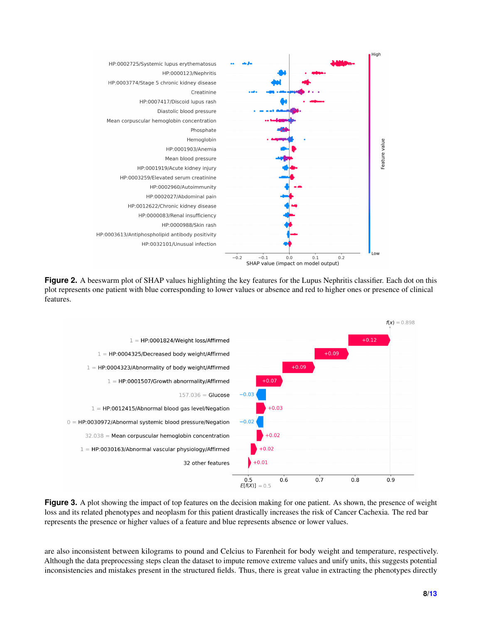<span id="page-7-1"></span>

**Figure 2.** A beeswarm plot of SHAP values highlighting the key features for the Lupus Nephritis classifier. Each dot on this plot represents one patient with blue corresponding to lower values or absence and red to higher ones or presence of clinical features.

<span id="page-7-0"></span>

**Figure 3.** A plot showing the impact of top features on the decision making for one patient. As shown, the presence of weight loss and its related phenotypes and neoplasm for this patient drastically increases the risk of Cancer Cachexia. The red bar represents the presence or higher values of a feature and blue represents absence or lower values.

are also inconsistent between kilograms to pound and Celcius to Farenheit for body weight and temperature, respectively. Although the data preprocessing steps clean the dataset to impute remove extreme values and unify units, this suggests potential inconsistencies and mistakes present in the structured fields. Thus, there is great value in extracting the phenotypes directly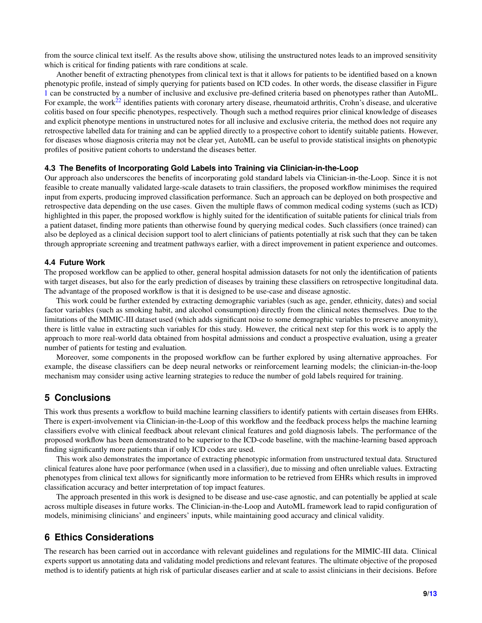from the source clinical text itself. As the results above show, utilising the unstructured notes leads to an improved sensitivity which is critical for finding patients with rare conditions at scale.

Another benefit of extracting phenotypes from clinical text is that it allows for patients to be identified based on a known phenotypic profile, instead of simply querying for patients based on ICD codes. In other words, the disease classifier in Figure [1](#page-2-0) can be constructed by a number of inclusive and exclusive pre-defined criteria based on phenotypes rather than AutoML. For example, the work<sup>[22](#page-10-9)</sup> identifies patients with coronary artery disease, rheumatoid arthritis, Crohn's disease, and ulcerative colitis based on four specific phenotypes, respectively. Though such a method requires prior clinical knowledge of diseases and explicit phenotype mentions in unstructured notes for all inclusive and exclusive criteria, the method does not require any retrospective labelled data for training and can be applied directly to a prospective cohort to identify suitable patients. However, for diseases whose diagnosis criteria may not be clear yet, AutoML can be useful to provide statistical insights on phenotypic profiles of positive patient cohorts to understand the diseases better.

#### **4.3 The Benefits of Incorporating Gold Labels into Training via Clinician-in-the-Loop**

Our approach also underscores the benefits of incorporating gold standard labels via Clinician-in-the-Loop. Since it is not feasible to create manually validated large-scale datasets to train classifiers, the proposed workflow minimises the required input from experts, producing improved classification performance. Such an approach can be deployed on both prospective and retrospective data depending on the use cases. Given the multiple flaws of common medical coding systems (such as ICD) highlighted in this paper, the proposed workflow is highly suited for the identification of suitable patients for clinical trials from a patient dataset, finding more patients than otherwise found by querying medical codes. Such classifiers (once trained) can also be deployed as a clinical decision support tool to alert clinicians of patients potentially at risk such that they can be taken through appropriate screening and treatment pathways earlier, with a direct improvement in patient experience and outcomes.

#### **4.4 Future Work**

The proposed workflow can be applied to other, general hospital admission datasets for not only the identification of patients with target diseases, but also for the early prediction of diseases by training these classifiers on retrospective longitudinal data. The advantage of the proposed workflow is that it is designed to be use-case and disease agnostic.

This work could be further extended by extracting demographic variables (such as age, gender, ethnicity, dates) and social factor variables (such as smoking habit, and alcohol consumption) directly from the clinical notes themselves. Due to the limitations of the MIMIC-III dataset used (which adds significant noise to some demographic variables to preserve anonymity), there is little value in extracting such variables for this study. However, the critical next step for this work is to apply the approach to more real-world data obtained from hospital admissions and conduct a prospective evaluation, using a greater number of patients for testing and evaluation.

Moreover, some components in the proposed workflow can be further explored by using alternative approaches. For example, the disease classifiers can be deep neural networks or reinforcement learning models; the clinician-in-the-loop mechanism may consider using active learning strategies to reduce the number of gold labels required for training.

## **5 Conclusions**

This work thus presents a workflow to build machine learning classifiers to identify patients with certain diseases from EHRs. There is expert-involvement via Clinician-in-the-Loop of this workflow and the feedback process helps the machine learning classifiers evolve with clinical feedback about relevant clinical features and gold diagnosis labels. The performance of the proposed workflow has been demonstrated to be superior to the ICD-code baseline, with the machine-learning based approach finding significantly more patients than if only ICD codes are used.

This work also demonstrates the importance of extracting phenotypic information from unstructured textual data. Structured clinical features alone have poor performance (when used in a classifier), due to missing and often unreliable values. Extracting phenotypes from clinical text allows for significantly more information to be retrieved from EHRs which results in improved classification accuracy and better interpretation of top impact features.

The approach presented in this work is designed to be disease and use-case agnostic, and can potentially be applied at scale across multiple diseases in future works. The Clinician-in-the-Loop and AutoML framework lead to rapid configuration of models, minimising clinicians' and engineers' inputs, while maintaining good accuracy and clinical validity.

# **6 Ethics Considerations**

The research has been carried out in accordance with relevant guidelines and regulations for the MIMIC-III data. Clinical experts support us annotating data and validating model predictions and relevant features. The ultimate objective of the proposed method is to identify patients at high risk of particular diseases earlier and at scale to assist clinicians in their decisions. Before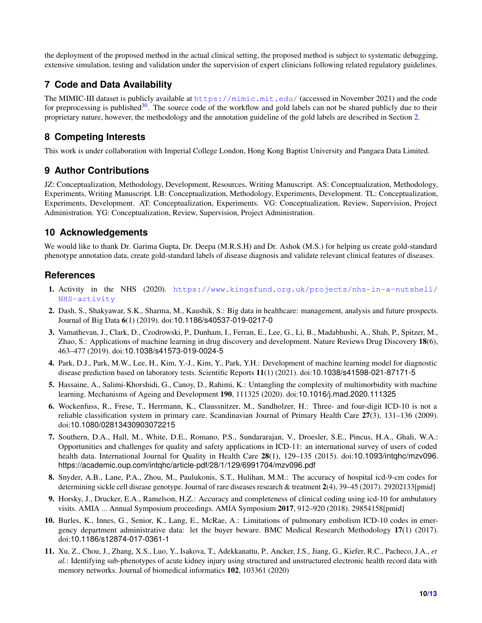the deployment of the proposed method in the actual clinical setting, the proposed method is subject to systematic debugging, extensive simulation, testing and validation under the supervision of expert clinicians following related regulatory guidelines.

# **7 Code and Data Availability**

The MIMIC-III dataset is publicly available at <https://mimic.mit.edu/> (accessed in November 2021) and the code for preprocessing is published<sup>[30](#page-11-2)</sup>. The source code of the workflow and gold labels can not be shared publicly due to their proprietary nature, however, the methodology and the annotation guideline of the gold labels are described in Section [2.](#page-1-1)

# **8 Competing Interests**

This work is under collaboration with Imperial College London, Hong Kong Baptist University and Pangaea Data Limited.

# **9 Author Contributions**

JZ: Conceptualization, Methodology, Development, Resources, Writing Manuscript. AS: Conceptualization, Methodology, Experiments, Writing Manuscript. LB: Conceptualization, Methodology, Experiments, Development. TL: Conceptualization, Experiments, Development. AT: Conceptualization, Experiments. VG: Conceptualization, Review, Supervision, Project Administration. YG: Conceptualization, Review, Supervision, Project Administration.

# **10 Acknowledgements**

We would like to thank Dr. Garima Gupta, Dr. Deepa (M.R.S.H) and Dr. Ashok (M.S.) for helping us create gold-standard phenotype annotation data, create gold-standard labels of disease diagnosis and validate relevant clinical features of diseases.

# **References**

- <span id="page-9-0"></span>1. Activity in the NHS (2020). [https://www.kingsfund.org.uk/projects/nhs-in-a-nutshell/](https://www.kingsfund.org.uk/projects/nhs-in-a-nutshell/NHS-activity) [NHS-activity](https://www.kingsfund.org.uk/projects/nhs-in-a-nutshell/NHS-activity)
- <span id="page-9-1"></span>2. Dash, S., Shakyawar, S.K., Sharma, M., Kaushik, S.: Big data in healthcare: management, analysis and future prospects. Journal of Big Data 6(1) (2019). doi:10.1186/s40537-019-0217-0
- 3. Vamathevan, J., Clark, D., Czodrowski, P., Dunham, I., Ferran, E., Lee, G., Li, B., Madabhushi, A., Shah, P., Spitzer, M., Zhao, S.: Applications of machine learning in drug discovery and development. Nature Reviews Drug Discovery 18(6), 463–477 (2019). doi:10.1038/s41573-019-0024-5
- 4. Park, D.J., Park, M.W., Lee, H., Kim, Y.-J., Kim, Y., Park, Y.H.: Development of machine learning model for diagnostic disease prediction based on laboratory tests. Scientific Reports 11(1) (2021). doi:10.1038/s41598-021-87171-5
- <span id="page-9-2"></span>5. Hassaine, A., Salimi-Khorshidi, G., Canoy, D., Rahimi, K.: Untangling the complexity of multimorbidity with machine learning. Mechanisms of Ageing and Development 190, 111325 (2020). doi:10.1016/j.mad.2020.111325
- <span id="page-9-3"></span>6. Wockenfuss, R., Frese, T., Herrmann, K., Claussnitzer, M., Sandholzer, H.: Three- and four-digit ICD-10 is not a reliable classification system in primary care. Scandinavian Journal of Primary Health Care 27(3), 131–136 (2009). doi:10.1080/02813430903072215
- <span id="page-9-4"></span>7. Southern, D.A., Hall, M., White, D.E., Romano, P.S., Sundararajan, V., Droesler, S.E., Pincus, H.A., Ghali, W.A.: Opportunities and challenges for quality and safety applications in ICD-11: an international survey of users of coded health data. International Journal for Quality in Health Care 28(1), 129–135 (2015). doi:10.1093/intqhc/mzv096. https://academic.oup.com/intqhc/article-pdf/28/1/129/6991704/mzv096.pdf
- <span id="page-9-5"></span>8. Snyder, A.B., Lane, P.A., Zhou, M., Paulukonis, S.T., Hulihan, M.M.: The accuracy of hospital icd-9-cm codes for determining sickle cell disease genotype. Journal of rare diseases research & treatment 2(4), 39–45 (2017). 29202133[pmid]
- <span id="page-9-6"></span>9. Horsky, J., Drucker, E.A., Ramelson, H.Z.: Accuracy and completeness of clinical coding using icd-10 for ambulatory visits. AMIA ... Annual Symposium proceedings. AMIA Symposium 2017, 912–920 (2018). 29854158[pmid]
- <span id="page-9-7"></span>10. Burles, K., Innes, G., Senior, K., Lang, E., McRae, A.: Limitations of pulmonary embolism ICD-10 codes in emergency department administrative data: let the buyer beware. BMC Medical Research Methodology 17(1) (2017). doi:10.1186/s12874-017-0361-1
- <span id="page-9-8"></span>11. Xu, Z., Chou, J., Zhang, X.S., Luo, Y., Isakova, T., Adekkanattu, P., Ancker, J.S., Jiang, G., Kiefer, R.C., Pacheco, J.A., *et al.*: Identifying sub-phenotypes of acute kidney injury using structured and unstructured electronic health record data with memory networks. Journal of biomedical informatics 102, 103361 (2020)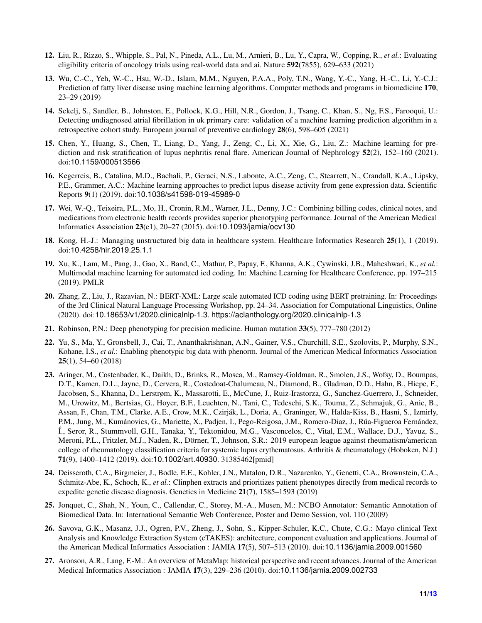- <span id="page-10-0"></span>12. Liu, R., Rizzo, S., Whipple, S., Pal, N., Pineda, A.L., Lu, M., Arnieri, B., Lu, Y., Capra, W., Copping, R., *et al.*: Evaluating eligibility criteria of oncology trials using real-world data and ai. Nature 592(7855), 629–633 (2021)
- <span id="page-10-1"></span>13. Wu, C.-C., Yeh, W.-C., Hsu, W.-D., Islam, M.M., Nguyen, P.A.A., Poly, T.N., Wang, Y.-C., Yang, H.-C., Li, Y.-C.J.: Prediction of fatty liver disease using machine learning algorithms. Computer methods and programs in biomedicine 170, 23–29 (2019)
- <span id="page-10-2"></span>14. Sekelj, S., Sandler, B., Johnston, E., Pollock, K.G., Hill, N.R., Gordon, J., Tsang, C., Khan, S., Ng, F.S., Farooqui, U.: Detecting undiagnosed atrial fibrillation in uk primary care: validation of a machine learning prediction algorithm in a retrospective cohort study. European journal of preventive cardiology 28(6), 598–605 (2021)
- <span id="page-10-3"></span>15. Chen, Y., Huang, S., Chen, T., Liang, D., Yang, J., Zeng, C., Li, X., Xie, G., Liu, Z.: Machine learning for prediction and risk stratification of lupus nephritis renal flare. American Journal of Nephrology 52(2), 152–160 (2021). doi:10.1159/000513566
- <span id="page-10-4"></span>16. Kegerreis, B., Catalina, M.D., Bachali, P., Geraci, N.S., Labonte, A.C., Zeng, C., Stearrett, N., Crandall, K.A., Lipsky, P.E., Grammer, A.C.: Machine learning approaches to predict lupus disease activity from gene expression data. Scientific Reports 9(1) (2019). doi:10.1038/s41598-019-45989-0
- <span id="page-10-5"></span>17. Wei, W.-Q., Teixeira, P.L., Mo, H., Cronin, R.M., Warner, J.L., Denny, J.C.: Combining billing codes, clinical notes, and medications from electronic health records provides superior phenotyping performance. Journal of the American Medical Informatics Association 23(e1), 20–27 (2015). doi:10.1093/jamia/ocv130
- <span id="page-10-6"></span>18. Kong, H.-J.: Managing unstructured big data in healthcare system. Healthcare Informatics Research 25(1), 1 (2019). doi:10.4258/hir.2019.25.1.1
- <span id="page-10-7"></span>19. Xu, K., Lam, M., Pang, J., Gao, X., Band, C., Mathur, P., Papay, F., Khanna, A.K., Cywinski, J.B., Maheshwari, K., *et al.*: Multimodal machine learning for automated icd coding. In: Machine Learning for Healthcare Conference, pp. 197–215 (2019). PMLR
- <span id="page-10-8"></span>20. Zhang, Z., Liu, J., Razavian, N.: BERT-XML: Large scale automated ICD coding using BERT pretraining. In: Proceedings of the 3rd Clinical Natural Language Processing Workshop, pp. 24–34. Association for Computational Linguistics, Online (2020). doi:10.18653/v1/2020.clinicalnlp-1.3. https://aclanthology.org/2020.clinicalnlp-1.3
- <span id="page-10-15"></span>21. Robinson, P.N.: Deep phenotyping for precision medicine. Human mutation 33(5), 777–780 (2012)
- <span id="page-10-9"></span>22. Yu, S., Ma, Y., Gronsbell, J., Cai, T., Ananthakrishnan, A.N., Gainer, V.S., Churchill, S.E., Szolovits, P., Murphy, S.N., Kohane, I.S., *et al.*: Enabling phenotypic big data with phenorm. Journal of the American Medical Informatics Association 25(1), 54–60 (2018)
- <span id="page-10-10"></span>23. Aringer, M., Costenbader, K., Daikh, D., Brinks, R., Mosca, M., Ramsey-Goldman, R., Smolen, J.S., Wofsy, D., Boumpas, D.T., Kamen, D.L., Jayne, D., Cervera, R., Costedoat-Chalumeau, N., Diamond, B., Gladman, D.D., Hahn, B., Hiepe, F., Jacobsen, S., Khanna, D., Lerstrøm, K., Massarotti, E., McCune, J., Ruiz-Irastorza, G., Sanchez-Guerrero, J., Schneider, M., Urowitz, M., Bertsias, G., Hoyer, B.F., Leuchten, N., Tani, C., Tedeschi, S.K., Touma, Z., Schmajuk, G., Anic, B., Assan, F., Chan, T.M., Clarke, A.E., Crow, M.K., Czirják, L., Doria, A., Graninger, W., Halda-Kiss, B., Hasni, S., Izmirly, P.M., Jung, M., Kumánovics, G., Mariette, X., Padjen, I., Pego-Reigosa, J.M., Romero-Diaz, J., Rúa-Figueroa Fernández, Í., Seror, R., Stummvoll, G.H., Tanaka, Y., Tektonidou, M.G., Vasconcelos, C., Vital, E.M., Wallace, D.J., Yavuz, S., Meroni, P.L., Fritzler, M.J., Naden, R., Dörner, T., Johnson, S.R.: 2019 european league against rheumatism/american college of rheumatology classification criteria for systemic lupus erythematosus. Arthritis & rheumatology (Hoboken, N.J.) 71(9), 1400–1412 (2019). doi:10.1002/art.40930. 31385462[pmid]
- <span id="page-10-11"></span>24. Deisseroth, C.A., Birgmeier, J., Bodle, E.E., Kohler, J.N., Matalon, D.R., Nazarenko, Y., Genetti, C.A., Brownstein, C.A., Schmitz-Abe, K., Schoch, K., *et al.*: Clinphen extracts and prioritizes patient phenotypes directly from medical records to expedite genetic disease diagnosis. Genetics in Medicine 21(7), 1585–1593 (2019)
- <span id="page-10-12"></span>25. Jonquet, C., Shah, N., Youn, C., Callendar, C., Storey, M.-A., Musen, M.: NCBO Annotator: Semantic Annotation of Biomedical Data. In: International Semantic Web Conference, Poster and Demo Session, vol. 110 (2009)
- <span id="page-10-13"></span>26. Savova, G.K., Masanz, J.J., Ogren, P.V., Zheng, J., Sohn, S., Kipper-Schuler, K.C., Chute, C.G.: Mayo clinical Text Analysis and Knowledge Extraction System (cTAKES): architecture, component evaluation and applications. Journal of the American Medical Informatics Association : JAMIA 17(5), 507–513 (2010). doi:10.1136/jamia.2009.001560
- <span id="page-10-14"></span>27. Aronson, A.R., Lang, F.-M.: An overview of MetaMap: historical perspective and recent advances. Journal of the American Medical Informatics Association : JAMIA 17(3), 229–236 (2010). doi:10.1136/jamia.2009.002733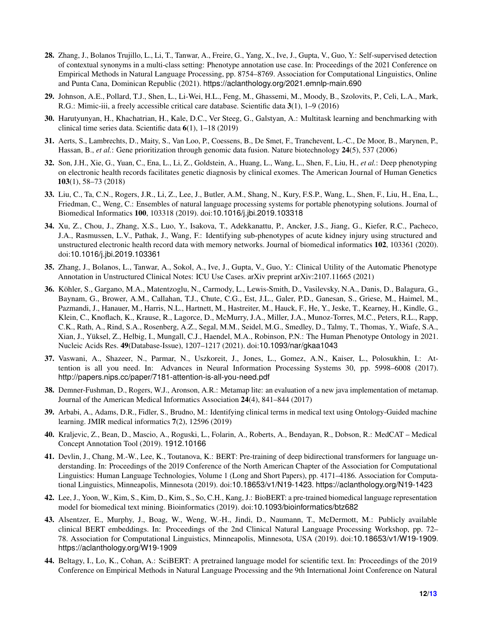- <span id="page-11-0"></span>28. Zhang, J., Bolanos Trujillo, L., Li, T., Tanwar, A., Freire, G., Yang, X., Ive, J., Gupta, V., Guo, Y.: Self-supervised detection of contextual synonyms in a multi-class setting: Phenotype annotation use case. In: Proceedings of the 2021 Conference on Empirical Methods in Natural Language Processing, pp. 8754–8769. Association for Computational Linguistics, Online and Punta Cana, Dominican Republic (2021). https://aclanthology.org/2021.emnlp-main.690
- <span id="page-11-1"></span>29. Johnson, A.E., Pollard, T.J., Shen, L., Li-Wei, H.L., Feng, M., Ghassemi, M., Moody, B., Szolovits, P., Celi, L.A., Mark, R.G.: Mimic-iii, a freely accessible critical care database. Scientific data 3(1), 1–9 (2016)
- <span id="page-11-2"></span>30. Harutyunyan, H., Khachatrian, H., Kale, D.C., Ver Steeg, G., Galstyan, A.: Multitask learning and benchmarking with clinical time series data. Scientific data 6(1), 1–18 (2019)
- <span id="page-11-3"></span>31. Aerts, S., Lambrechts, D., Maity, S., Van Loo, P., Coessens, B., De Smet, F., Tranchevent, L.-C., De Moor, B., Marynen, P., Hassan, B., *et al.*: Gene prioritization through genomic data fusion. Nature biotechnology **24**(5), 537 (2006)
- 32. Son, J.H., Xie, G., Yuan, C., Ena, L., Li, Z., Goldstein, A., Huang, L., Wang, L., Shen, F., Liu, H., *et al.*: Deep phenotyping on electronic health records facilitates genetic diagnosis by clinical exomes. The American Journal of Human Genetics 103(1), 58–73 (2018)
- 33. Liu, C., Ta, C.N., Rogers, J.R., Li, Z., Lee, J., Butler, A.M., Shang, N., Kury, F.S.P., Wang, L., Shen, F., Liu, H., Ena, L., Friedman, C., Weng, C.: Ensembles of natural language processing systems for portable phenotyping solutions. Journal of Biomedical Informatics 100, 103318 (2019). doi:10.1016/j.jbi.2019.103318
- 34. Xu, Z., Chou, J., Zhang, X.S., Luo, Y., Isakova, T., Adekkanattu, P., Ancker, J.S., Jiang, G., Kiefer, R.C., Pacheco, J.A., Rasmussen, L.V., Pathak, J., Wang, F.: Identifying sub-phenotypes of acute kidney injury using structured and unstructured electronic health record data with memory networks. Journal of biomedical informatics 102, 103361 (2020). doi:10.1016/j.jbi.2019.103361
- <span id="page-11-4"></span>35. Zhang, J., Bolanos, L., Tanwar, A., Sokol, A., Ive, J., Gupta, V., Guo, Y.: Clinical Utility of the Automatic Phenotype Annotation in Unstructured Clinical Notes: ICU Use Cases. arXiv preprint arXiv:2107.11665 (2021)
- <span id="page-11-5"></span>36. Köhler, S., Gargano, M.A., Matentzoglu, N., Carmody, L., Lewis-Smith, D., Vasilevsky, N.A., Danis, D., Balagura, G., Baynam, G., Brower, A.M., Callahan, T.J., Chute, C.G., Est, J.L., Galer, P.D., Ganesan, S., Griese, M., Haimel, M., Pazmandi, J., Hanauer, M., Harris, N.L., Hartnett, M., Hastreiter, M., Hauck, F., He, Y., Jeske, T., Kearney, H., Kindle, G., Klein, C., Knoflach, K., Krause, R., Lagorce, D., McMurry, J.A., Miller, J.A., Munoz-Torres, M.C., Peters, R.L., Rapp, C.K., Rath, A., Rind, S.A., Rosenberg, A.Z., Segal, M.M., Seidel, M.G., Smedley, D., Talmy, T., Thomas, Y., Wiafe, S.A., Xian, J., Yüksel, Z., Helbig, I., Mungall, C.J., Haendel, M.A., Robinson, P.N.: The Human Phenotype Ontology in 2021. Nucleic Acids Res. 49(Database-Issue), 1207–1217 (2021). doi:10.1093/nar/gkaa1043
- <span id="page-11-6"></span>37. Vaswani, A., Shazeer, N., Parmar, N., Uszkoreit, J., Jones, L., Gomez, A.N., Kaiser, L., Polosukhin, I.: Attention is all you need. In: Advances in Neural Information Processing Systems 30, pp. 5998–6008 (2017). http://papers.nips.cc/paper/7181-attention-is-all-you-need.pdf
- <span id="page-11-7"></span>38. Demner-Fushman, D., Rogers, W.J., Aronson, A.R.: Metamap lite: an evaluation of a new java implementation of metamap. Journal of the American Medical Informatics Association 24(4), 841–844 (2017)
- <span id="page-11-8"></span>39. Arbabi, A., Adams, D.R., Fidler, S., Brudno, M.: Identifying clinical terms in medical text using Ontology-Guided machine learning. JMIR medical informatics 7(2), 12596 (2019)
- <span id="page-11-9"></span>40. Kraljevic, Z., Bean, D., Mascio, A., Roguski, L., Folarin, A., Roberts, A., Bendayan, R., Dobson, R.: MedCAT – Medical Concept Annotation Tool (2019). 1912.10166
- <span id="page-11-10"></span>41. Devlin, J., Chang, M.-W., Lee, K., Toutanova, K.: BERT: Pre-training of deep bidirectional transformers for language understanding. In: Proceedings of the 2019 Conference of the North American Chapter of the Association for Computational Linguistics: Human Language Technologies, Volume 1 (Long and Short Papers), pp. 4171–4186. Association for Computational Linguistics, Minneapolis, Minnesota (2019). doi:10.18653/v1/N19-1423. https://aclanthology.org/N19-1423
- 42. Lee, J., Yoon, W., Kim, S., Kim, D., Kim, S., So, C.H., Kang, J.: BioBERT: a pre-trained biomedical language representation model for biomedical text mining. Bioinformatics (2019). doi:10.1093/bioinformatics/btz682
- 43. Alsentzer, E., Murphy, J., Boag, W., Weng, W.-H., Jindi, D., Naumann, T., McDermott, M.: Publicly available clinical BERT embeddings. In: Proceedings of the 2nd Clinical Natural Language Processing Workshop, pp. 72– 78. Association for Computational Linguistics, Minneapolis, Minnesota, USA (2019). doi:10.18653/v1/W19-1909. https://aclanthology.org/W19-1909
- <span id="page-11-11"></span>44. Beltagy, I., Lo, K., Cohan, A.: SciBERT: A pretrained language model for scientific text. In: Proceedings of the 2019 Conference on Empirical Methods in Natural Language Processing and the 9th International Joint Conference on Natural